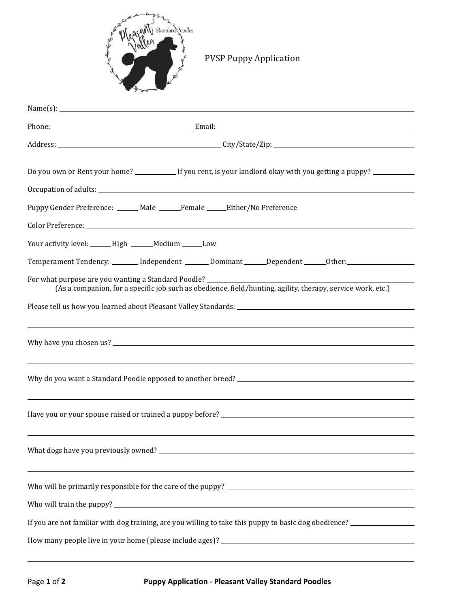

## PVSP Puppy Application

| Do you own or Rent your home? If you rent, is your landlord okay with you getting a puppy?                           |
|----------------------------------------------------------------------------------------------------------------------|
|                                                                                                                      |
| Puppy Gender Preference: ______ Male ______Female _____Either/No Preference                                          |
|                                                                                                                      |
| Your activity level: ______ High ______Medium ______Low                                                              |
| Temperament Tendency: ______ Independent ______ Dominant ______Dependent ______Other: ______________                 |
| (As a companion, for a specific job such as obedience, field/hunting, agility, therapy, service work, etc.)          |
|                                                                                                                      |
|                                                                                                                      |
|                                                                                                                      |
|                                                                                                                      |
|                                                                                                                      |
| ,我们也不会有什么。""我们的人,我们也不会有什么?""我们的人,我们也不会有什么?""我们的人,我们也不会有什么?""我们的人,我们也不会有什么?""我们的人                                     |
|                                                                                                                      |
| If you are not familiar with dog training, are you willing to take this puppy to basic dog obedience? ______________ |
| How many people live in your home (please include ages)?                                                             |